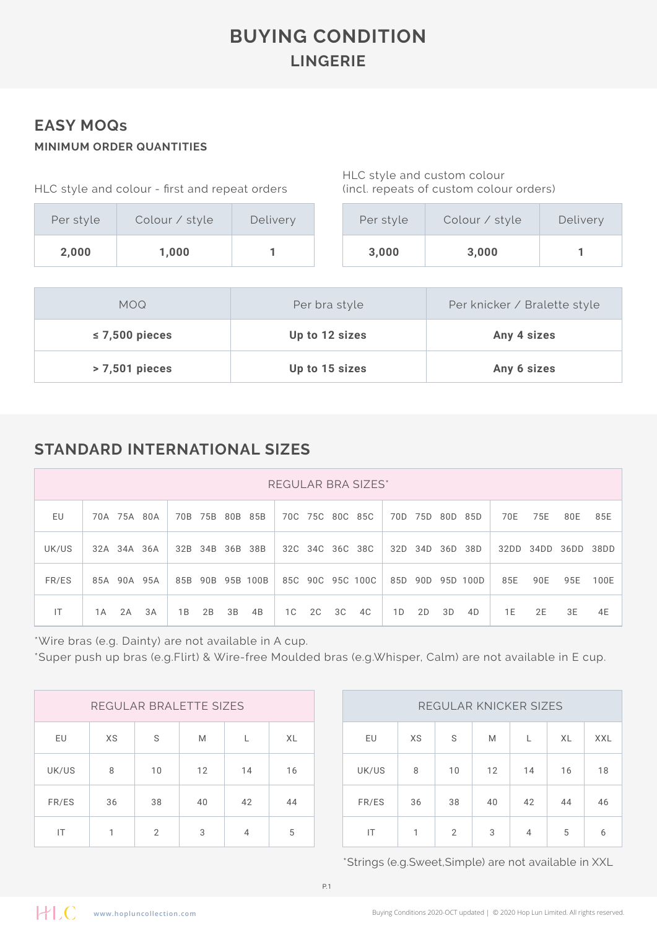## **BUYING CONDITION LINGERIE**

#### **EASY MOQs MINIMUM ORDER QUANTITIES**

| Per style | Colour / style |  |  |  |  |  |
|-----------|----------------|--|--|--|--|--|
| 2,000     | 1,000          |  |  |  |  |  |

HLC style and custom colour (incl. repeats of custom colour orders)

| Per style | Colour / style | Delivery |
|-----------|----------------|----------|
| 3,000     | 3,000          |          |

| <b>MOQ</b>          | Per bra style  | Per knicker / Bralette style |  |  |  |  |
|---------------------|----------------|------------------------------|--|--|--|--|
| $\leq$ 7,500 pieces | Up to 12 sizes | Any 4 sizes                  |  |  |  |  |
| $>7,501$ pieces     | Up to 15 sizes | Any 6 sizes                  |  |  |  |  |

### **STANDARD INTERNATIONAL SIZES**

|       | REGULAR BRA SIZES* |    |    |                 |    |                  |    |    |    |                  |    |             |    |                  |      |      |           |      |
|-------|--------------------|----|----|-----------------|----|------------------|----|----|----|------------------|----|-------------|----|------------------|------|------|-----------|------|
| EU    | 70A 75A 80A        |    |    | 70B 75B 80B 85B |    |                  |    |    |    | 70C 75C 80C 85C  |    | 70D 75D 80D |    | 85D              | 70E  | 75E  | 80E       | 85E  |
| UK/US | 32A 34A 36A        |    |    | 32B 34B 36B 38B |    |                  |    |    |    | 32C 34C 36C 38C  |    | 32D 34D 36D |    | 38D              | 32DD | 34DD | 36DD 38DD |      |
| FR/ES | 85A 90A 95A        |    |    |                 |    | 85B 90B 95B 100B |    |    |    | 85C 90C 95C 100C |    |             |    | 85D 90D 95D 100D | 85E  | 90E  | 95E       | 100E |
| IT    | 2A<br>1 A          | 3A | 1B | 2B              | 3B | 4B               | 1C | 2C | 3C | 4C               | 1D | 2D          | 3D | 4D               | 1 E  | 2E   | 3E        | 4E   |

\*Wire bras (e.g. Dainty) are not available in A cup.

\*Super push up bras (e.g.Flirt) & Wire-free Moulded bras (e.g.Whisper, Calm) are not available in E cup.

|       | REGULAR BRALETTE SIZES |                |    |    | REGULAR KNICKER SIZES |       |              |                |    |    |  |
|-------|------------------------|----------------|----|----|-----------------------|-------|--------------|----------------|----|----|--|
| EU    | XS                     | S              | M  |    | XL                    | EU    | XS           | S              | M  |    |  |
| UK/US | 8                      | 10             | 12 | 14 | 16                    | UK/US | 8            | 10             | 12 | 14 |  |
| FR/ES | 36                     | 38             | 40 | 42 | 44                    | FR/ES | 36           | 38             | 40 | 42 |  |
| IT    | 1                      | $\overline{2}$ | 3  | 4  | 5                     | IT    | $\mathbf{1}$ | $\mathfrak{D}$ | 3  | 4  |  |

| REGULAR KNICKER SIZES |    |    |    |    |    |            |  |  |  |  |  |
|-----------------------|----|----|----|----|----|------------|--|--|--|--|--|
| EU                    | XS | S  | M  | L  | XL | <b>XXL</b> |  |  |  |  |  |
| UK/US                 | 8  | 10 | 12 | 14 | 16 | 18         |  |  |  |  |  |
| FR/ES                 | 36 | 38 | 40 | 42 | 44 | 46         |  |  |  |  |  |
| IΤ                    | 1  | 2  | 3  | 4  | 5  | 6          |  |  |  |  |  |

\*Strings (e.g.Sweet,Simple) are not available in XXL